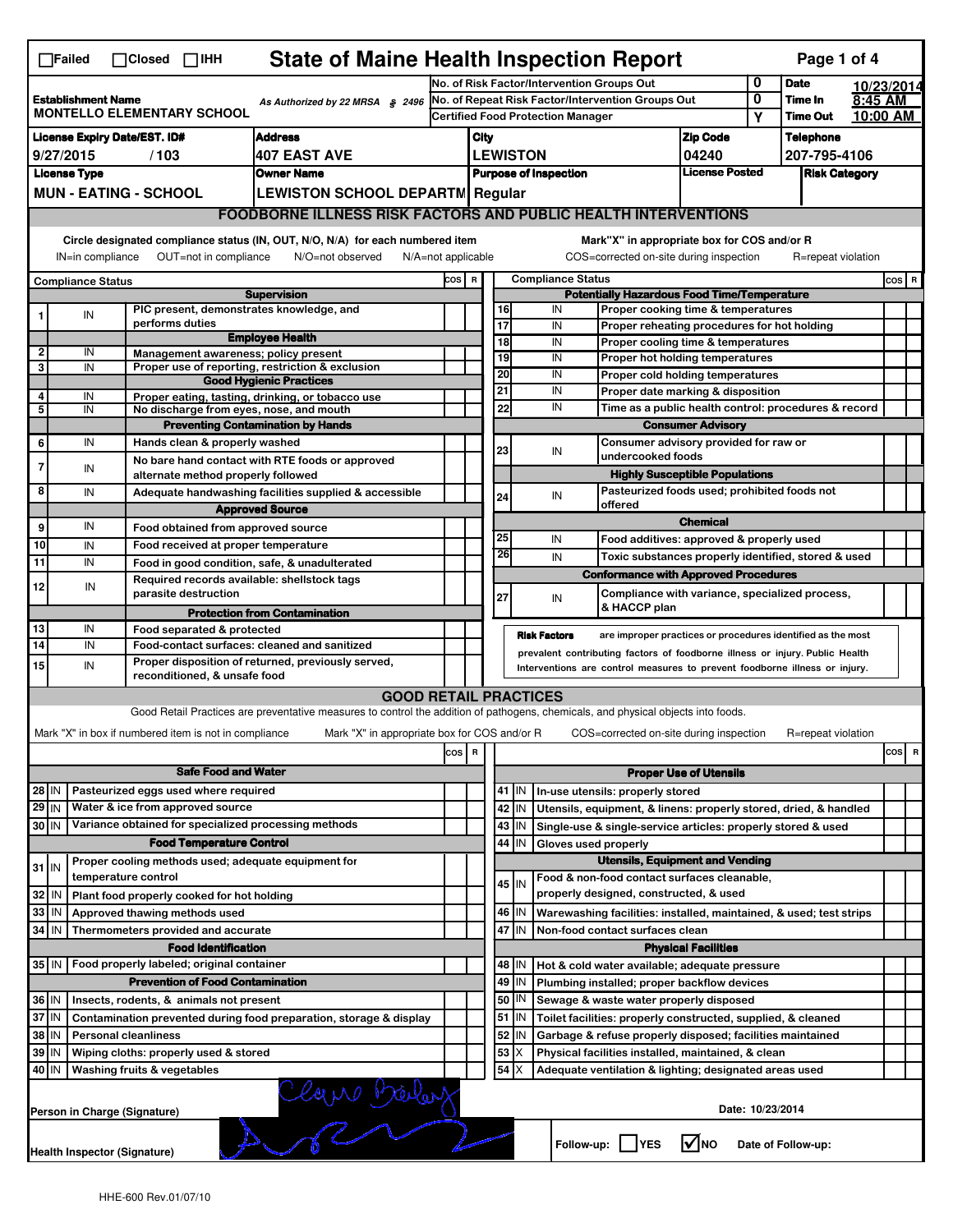| <b>State of Maine Health Inspection Report</b><br>Page 1 of 4<br>$\Box$ Failed<br>$\Box$ Closed $\Box$ IHH                                                                                                                                                                                |                                                                                                   |                     |                                                                           |                                                                                                                                   |                                                                                                      |                                                                                               |                                                                                       |                                             |                                                                                                                           |                                                                                           |        |                            |                     |     |                              |  |  |  |  |  |  |  |  |  |  |
|-------------------------------------------------------------------------------------------------------------------------------------------------------------------------------------------------------------------------------------------------------------------------------------------|---------------------------------------------------------------------------------------------------|---------------------|---------------------------------------------------------------------------|-----------------------------------------------------------------------------------------------------------------------------------|------------------------------------------------------------------------------------------------------|-----------------------------------------------------------------------------------------------|---------------------------------------------------------------------------------------|---------------------------------------------|---------------------------------------------------------------------------------------------------------------------------|-------------------------------------------------------------------------------------------|--------|----------------------------|---------------------|-----|------------------------------|--|--|--|--|--|--|--|--|--|--|
|                                                                                                                                                                                                                                                                                           |                                                                                                   |                     |                                                                           |                                                                                                                                   |                                                                                                      | No. of Risk Factor/Intervention Groups Out                                                    |                                                                                       |                                             |                                                                                                                           |                                                                                           |        | <b>Date</b>                | 10/23/2014          |     |                              |  |  |  |  |  |  |  |  |  |  |
|                                                                                                                                                                                                                                                                                           | <b>Establishment Name</b><br>As Authorized by 22 MRSA § 2496<br><b>MONTELLO ELEMENTARY SCHOOL</b> |                     |                                                                           |                                                                                                                                   |                                                                                                      | No. of Repeat Risk Factor/Intervention Groups Out<br><b>Certified Food Protection Manager</b> |                                                                                       |                                             |                                                                                                                           |                                                                                           | 0<br>Υ | Time In<br><b>Time Out</b> | 8:45 AM<br>10:00 AM |     |                              |  |  |  |  |  |  |  |  |  |  |
|                                                                                                                                                                                                                                                                                           | <b>License Expiry Date/EST. ID#</b><br><b>Address</b>                                             |                     |                                                                           |                                                                                                                                   |                                                                                                      |                                                                                               |                                                                                       |                                             |                                                                                                                           | <b>Zip Code</b>                                                                           |        | <b>Telephone</b>           |                     |     |                              |  |  |  |  |  |  |  |  |  |  |
|                                                                                                                                                                                                                                                                                           | <b>407 EAST AVE</b><br>9/27/2015<br>/103                                                          |                     |                                                                           |                                                                                                                                   |                                                                                                      |                                                                                               | City<br><b>LEWISTON</b><br>04240                                                      |                                             |                                                                                                                           |                                                                                           |        | 207-795-4106               |                     |     |                              |  |  |  |  |  |  |  |  |  |  |
|                                                                                                                                                                                                                                                                                           | <b>License Type</b><br><b>Owner Name</b>                                                          |                     |                                                                           |                                                                                                                                   |                                                                                                      |                                                                                               |                                                                                       |                                             |                                                                                                                           | <b>License Posted</b>                                                                     |        | <b>Risk Category</b>       |                     |     |                              |  |  |  |  |  |  |  |  |  |  |
|                                                                                                                                                                                                                                                                                           | <b>MUN - EATING - SCHOOL</b><br><b>LEWISTON SCHOOL DEPARTM Regular</b>                            |                     |                                                                           |                                                                                                                                   |                                                                                                      | <b>Purpose of Inspection</b>                                                                  |                                                                                       |                                             |                                                                                                                           |                                                                                           |        |                            |                     |     |                              |  |  |  |  |  |  |  |  |  |  |
|                                                                                                                                                                                                                                                                                           |                                                                                                   |                     |                                                                           |                                                                                                                                   |                                                                                                      |                                                                                               |                                                                                       |                                             |                                                                                                                           |                                                                                           |        |                            |                     |     |                              |  |  |  |  |  |  |  |  |  |  |
| <b>FOODBORNE ILLNESS RISK FACTORS AND PUBLIC HEALTH INTERVENTIONS</b>                                                                                                                                                                                                                     |                                                                                                   |                     |                                                                           |                                                                                                                                   |                                                                                                      |                                                                                               |                                                                                       |                                             |                                                                                                                           |                                                                                           |        |                            |                     |     |                              |  |  |  |  |  |  |  |  |  |  |
| Circle designated compliance status (IN, OUT, N/O, N/A) for each numbered item<br>Mark"X" in appropriate box for COS and/or R<br>OUT=not in compliance<br>COS=corrected on-site during inspection<br>IN=in compliance<br>N/O=not observed<br>$N/A = not$ applicable<br>R=repeat violation |                                                                                                   |                     |                                                                           |                                                                                                                                   |                                                                                                      |                                                                                               |                                                                                       |                                             |                                                                                                                           |                                                                                           |        |                            |                     |     |                              |  |  |  |  |  |  |  |  |  |  |
|                                                                                                                                                                                                                                                                                           | Compliance Status                                                                                 |                     |                                                                           |                                                                                                                                   |                                                                                                      | <b>Compliance Status</b><br>COS R                                                             |                                                                                       |                                             |                                                                                                                           |                                                                                           |        |                            |                     |     | $cos$ R                      |  |  |  |  |  |  |  |  |  |  |
| <b>Supervision</b><br>PIC present, demonstrates knowledge, and                                                                                                                                                                                                                            |                                                                                                   |                     |                                                                           |                                                                                                                                   | <b>Potentially Hazardous Food Time/Temperature</b><br>16<br>IN<br>Proper cooking time & temperatures |                                                                                               |                                                                                       |                                             |                                                                                                                           |                                                                                           |        |                            |                     |     |                              |  |  |  |  |  |  |  |  |  |  |
| 1                                                                                                                                                                                                                                                                                         | IN                                                                                                |                     | performs duties                                                           |                                                                                                                                   |                                                                                                      |                                                                                               | 17                                                                                    |                                             | IN<br>Proper reheating procedures for hot holding                                                                         |                                                                                           |        |                            |                     |     |                              |  |  |  |  |  |  |  |  |  |  |
| 2                                                                                                                                                                                                                                                                                         | IN                                                                                                |                     |                                                                           | <b>Employee Health</b>                                                                                                            |                                                                                                      |                                                                                               | $\overline{18}$<br>IN<br>Proper cooling time & temperatures                           |                                             |                                                                                                                           |                                                                                           |        |                            |                     |     |                              |  |  |  |  |  |  |  |  |  |  |
| 3                                                                                                                                                                                                                                                                                         | IN                                                                                                |                     |                                                                           | Management awareness: policy present<br>Proper use of reporting, restriction & exclusion                                          |                                                                                                      |                                                                                               | 19                                                                                    |                                             | IN<br>Proper hot holding temperatures                                                                                     |                                                                                           |        |                            |                     |     |                              |  |  |  |  |  |  |  |  |  |  |
|                                                                                                                                                                                                                                                                                           |                                                                                                   |                     |                                                                           | <b>Good Hygienic Practices</b>                                                                                                    |                                                                                                      |                                                                                               | 20<br>21                                                                              |                                             | IN<br>Proper cold holding temperatures<br>IN                                                                              |                                                                                           |        |                            |                     |     |                              |  |  |  |  |  |  |  |  |  |  |
| 4<br>5                                                                                                                                                                                                                                                                                    | IN<br>IN                                                                                          |                     |                                                                           | Proper eating, tasting, drinking, or tobacco use<br>No discharge from eyes, nose, and mouth                                       |                                                                                                      |                                                                                               | 22                                                                                    |                                             | IN                                                                                                                        | Proper date marking & disposition<br>Time as a public health control: procedures & record |        |                            |                     |     |                              |  |  |  |  |  |  |  |  |  |  |
|                                                                                                                                                                                                                                                                                           |                                                                                                   |                     |                                                                           | <b>Preventing Contamination by Hands</b>                                                                                          |                                                                                                      |                                                                                               |                                                                                       |                                             |                                                                                                                           | <b>Consumer Advisory</b>                                                                  |        |                            |                     |     |                              |  |  |  |  |  |  |  |  |  |  |
| 6                                                                                                                                                                                                                                                                                         | IN                                                                                                |                     | Hands clean & properly washed                                             |                                                                                                                                   |                                                                                                      |                                                                                               |                                                                                       |                                             |                                                                                                                           | Consumer advisory provided for raw or                                                     |        |                            |                     |     |                              |  |  |  |  |  |  |  |  |  |  |
| 7                                                                                                                                                                                                                                                                                         | IN                                                                                                |                     |                                                                           | No bare hand contact with RTE foods or approved                                                                                   |                                                                                                      |                                                                                               | 23                                                                                    |                                             | IN                                                                                                                        | undercooked foods                                                                         |        |                            |                     |     |                              |  |  |  |  |  |  |  |  |  |  |
|                                                                                                                                                                                                                                                                                           |                                                                                                   |                     | alternate method properly followed                                        |                                                                                                                                   |                                                                                                      |                                                                                               |                                                                                       |                                             |                                                                                                                           | <b>Highly Susceptible Populations</b>                                                     |        |                            |                     |     |                              |  |  |  |  |  |  |  |  |  |  |
| 8                                                                                                                                                                                                                                                                                         | IN                                                                                                |                     |                                                                           | Adequate handwashing facilities supplied & accessible                                                                             |                                                                                                      |                                                                                               | 24                                                                                    |                                             | IN<br>offered                                                                                                             | Pasteurized foods used; prohibited foods not                                              |        |                            |                     |     |                              |  |  |  |  |  |  |  |  |  |  |
| 9                                                                                                                                                                                                                                                                                         | IN                                                                                                |                     |                                                                           | <b>Approved Source</b>                                                                                                            |                                                                                                      |                                                                                               | <b>Chemical</b>                                                                       |                                             |                                                                                                                           |                                                                                           |        |                            |                     |     |                              |  |  |  |  |  |  |  |  |  |  |
| 10                                                                                                                                                                                                                                                                                        | IN                                                                                                |                     | Food obtained from approved source<br>Food received at proper temperature |                                                                                                                                   |                                                                                                      |                                                                                               | 25                                                                                    |                                             | IN<br>Food additives: approved & properly used                                                                            |                                                                                           |        |                            |                     |     |                              |  |  |  |  |  |  |  |  |  |  |
| 11                                                                                                                                                                                                                                                                                        | IN                                                                                                |                     |                                                                           | Food in good condition, safe, & unadulterated                                                                                     |                                                                                                      |                                                                                               | 26                                                                                    |                                             | IN<br>Toxic substances properly identified, stored & used                                                                 |                                                                                           |        |                            |                     |     |                              |  |  |  |  |  |  |  |  |  |  |
|                                                                                                                                                                                                                                                                                           |                                                                                                   |                     |                                                                           | Required records available: shellstock tags                                                                                       |                                                                                                      |                                                                                               |                                                                                       |                                             | <b>Conformance with Approved Procedures</b>                                                                               |                                                                                           |        |                            |                     |     |                              |  |  |  |  |  |  |  |  |  |  |
| 12                                                                                                                                                                                                                                                                                        | IN                                                                                                |                     | parasite destruction                                                      |                                                                                                                                   |                                                                                                      |                                                                                               | 27                                                                                    |                                             | Compliance with variance, specialized process,<br>IN                                                                      |                                                                                           |        |                            |                     |     |                              |  |  |  |  |  |  |  |  |  |  |
|                                                                                                                                                                                                                                                                                           |                                                                                                   |                     |                                                                           | <b>Protection from Contamination</b>                                                                                              |                                                                                                      |                                                                                               |                                                                                       |                                             | & HACCP plan                                                                                                              |                                                                                           |        |                            |                     |     |                              |  |  |  |  |  |  |  |  |  |  |
| 13                                                                                                                                                                                                                                                                                        | IN                                                                                                |                     | Food separated & protected                                                |                                                                                                                                   |                                                                                                      |                                                                                               |                                                                                       |                                             | <b>Risk Factors</b><br>are improper practices or procedures identified as the most                                        |                                                                                           |        |                            |                     |     |                              |  |  |  |  |  |  |  |  |  |  |
| 14                                                                                                                                                                                                                                                                                        | IN                                                                                                |                     |                                                                           | Food-contact surfaces: cleaned and sanitized<br>Proper disposition of returned, previously served,                                |                                                                                                      |                                                                                               |                                                                                       |                                             | prevalent contributing factors of foodborne illness or injury. Public Health                                              |                                                                                           |        |                            |                     |     |                              |  |  |  |  |  |  |  |  |  |  |
| 15                                                                                                                                                                                                                                                                                        | IN                                                                                                |                     | reconditioned, & unsafe food                                              |                                                                                                                                   |                                                                                                      |                                                                                               |                                                                                       |                                             | Interventions are control measures to prevent foodborne illness or injury.                                                |                                                                                           |        |                            |                     |     |                              |  |  |  |  |  |  |  |  |  |  |
|                                                                                                                                                                                                                                                                                           |                                                                                                   |                     |                                                                           | <b>GOOD RETAIL PRACTICES</b>                                                                                                      |                                                                                                      |                                                                                               |                                                                                       |                                             |                                                                                                                           |                                                                                           |        |                            |                     |     |                              |  |  |  |  |  |  |  |  |  |  |
|                                                                                                                                                                                                                                                                                           |                                                                                                   |                     |                                                                           | Good Retail Practices are preventative measures to control the addition of pathogens, chemicals, and physical objects into foods. |                                                                                                      |                                                                                               |                                                                                       |                                             |                                                                                                                           |                                                                                           |        |                            |                     |     |                              |  |  |  |  |  |  |  |  |  |  |
|                                                                                                                                                                                                                                                                                           |                                                                                                   |                     | Mark "X" in box if numbered item is not in compliance                     | Mark "X" in appropriate box for COS and/or R                                                                                      |                                                                                                      |                                                                                               |                                                                                       |                                             | COS=corrected on-site during inspection                                                                                   |                                                                                           |        | R=repeat violation         |                     |     |                              |  |  |  |  |  |  |  |  |  |  |
|                                                                                                                                                                                                                                                                                           |                                                                                                   |                     |                                                                           |                                                                                                                                   | cos   R                                                                                              |                                                                                               |                                                                                       |                                             |                                                                                                                           |                                                                                           |        |                            |                     | cos | R                            |  |  |  |  |  |  |  |  |  |  |
|                                                                                                                                                                                                                                                                                           | <b>Safe Food and Water</b>                                                                        |                     |                                                                           |                                                                                                                                   |                                                                                                      |                                                                                               |                                                                                       | <b>Proper Use of Utensils</b>               |                                                                                                                           |                                                                                           |        |                            |                     |     |                              |  |  |  |  |  |  |  |  |  |  |
| Pasteurized eggs used where required<br>28 IN                                                                                                                                                                                                                                             |                                                                                                   |                     |                                                                           |                                                                                                                                   |                                                                                                      |                                                                                               |                                                                                       | 41 J IN                                     | In-use utensils: properly stored                                                                                          |                                                                                           |        |                            |                     |     |                              |  |  |  |  |  |  |  |  |  |  |
| 29 IN                                                                                                                                                                                                                                                                                     |                                                                                                   |                     | Water & ice from approved source                                          |                                                                                                                                   |                                                                                                      |                                                                                               |                                                                                       | 42 IN                                       | Utensils, equipment, & linens: properly stored, dried, & handled                                                          |                                                                                           |        |                            |                     |     |                              |  |  |  |  |  |  |  |  |  |  |
| 30 IN                                                                                                                                                                                                                                                                                     |                                                                                                   |                     |                                                                           | Variance obtained for specialized processing methods                                                                              |                                                                                                      |                                                                                               |                                                                                       | $43$   IN                                   | Single-use & single-service articles: properly stored & used                                                              |                                                                                           |        |                            |                     |     |                              |  |  |  |  |  |  |  |  |  |  |
| <b>Food Temperature Control</b><br>Proper cooling methods used; adequate equipment for                                                                                                                                                                                                    |                                                                                                   |                     |                                                                           |                                                                                                                                   |                                                                                                      |                                                                                               | 44                                                                                    | IN                                          | Gloves used properly                                                                                                      |                                                                                           |        |                            |                     |     |                              |  |  |  |  |  |  |  |  |  |  |
| $31$ IN                                                                                                                                                                                                                                                                                   |                                                                                                   | temperature control |                                                                           |                                                                                                                                   |                                                                                                      |                                                                                               | <b>Utensils, Equipment and Vending</b><br>Food & non-food contact surfaces cleanable, |                                             |                                                                                                                           |                                                                                           |        |                            |                     |     |                              |  |  |  |  |  |  |  |  |  |  |
| 32 IN                                                                                                                                                                                                                                                                                     |                                                                                                   |                     | Plant food properly cooked for hot holding                                |                                                                                                                                   |                                                                                                      |                                                                                               |                                                                                       | 45 IN                                       | properly designed, constructed, & used                                                                                    |                                                                                           |        |                            |                     |     |                              |  |  |  |  |  |  |  |  |  |  |
| 33 IN                                                                                                                                                                                                                                                                                     |                                                                                                   |                     | Approved thawing methods used                                             |                                                                                                                                   |                                                                                                      |                                                                                               |                                                                                       | 46 IN                                       | Warewashing facilities: installed, maintained, & used; test strips                                                        |                                                                                           |        |                            |                     |     |                              |  |  |  |  |  |  |  |  |  |  |
| 34 IN<br>Thermometers provided and accurate                                                                                                                                                                                                                                               |                                                                                                   |                     |                                                                           |                                                                                                                                   |                                                                                                      |                                                                                               | 47 IN<br>Non-food contact surfaces clean                                              |                                             |                                                                                                                           |                                                                                           |        |                            |                     |     |                              |  |  |  |  |  |  |  |  |  |  |
|                                                                                                                                                                                                                                                                                           |                                                                                                   |                     | <b>Food Identification</b>                                                |                                                                                                                                   |                                                                                                      |                                                                                               | <b>Physical Facilities</b>                                                            |                                             |                                                                                                                           |                                                                                           |        |                            |                     |     |                              |  |  |  |  |  |  |  |  |  |  |
| 35 IN                                                                                                                                                                                                                                                                                     |                                                                                                   |                     | Food properly labeled; original container                                 |                                                                                                                                   |                                                                                                      |                                                                                               |                                                                                       | 48   IN                                     | Hot & cold water available; adequate pressure                                                                             |                                                                                           |        |                            |                     |     |                              |  |  |  |  |  |  |  |  |  |  |
| <b>Prevention of Food Contamination</b>                                                                                                                                                                                                                                                   |                                                                                                   |                     |                                                                           |                                                                                                                                   |                                                                                                      | 49                                                                                            | IN                                                                                    | Plumbing installed; proper backflow devices |                                                                                                                           |                                                                                           |        |                            |                     |     |                              |  |  |  |  |  |  |  |  |  |  |
|                                                                                                                                                                                                                                                                                           | 36 IN<br>Insects, rodents, & animals not present                                                  |                     |                                                                           |                                                                                                                                   |                                                                                                      |                                                                                               | 50                                                                                    | IN                                          | Sewage & waste water properly disposed                                                                                    |                                                                                           |        |                            |                     |     |                              |  |  |  |  |  |  |  |  |  |  |
| 37 IN<br>Contamination prevented during food preparation, storage & display<br>38 IN<br><b>Personal cleanliness</b>                                                                                                                                                                       |                                                                                                   |                     |                                                                           |                                                                                                                                   |                                                                                                      |                                                                                               | 52                                                                                    | $51$ $\vert$ IN<br>IN                       | Toilet facilities: properly constructed, supplied, & cleaned<br>Garbage & refuse properly disposed; facilities maintained |                                                                                           |        |                            |                     |     |                              |  |  |  |  |  |  |  |  |  |  |
| 39 IN<br>Wiping cloths: properly used & stored                                                                                                                                                                                                                                            |                                                                                                   |                     |                                                                           |                                                                                                                                   |                                                                                                      |                                                                                               | 53                                                                                    | X                                           | Physical facilities installed, maintained, & clean                                                                        |                                                                                           |        |                            |                     |     |                              |  |  |  |  |  |  |  |  |  |  |
| $54$ $\times$<br>40 IN<br>Washing fruits & vegetables<br>Adequate ventilation & lighting; designated areas used                                                                                                                                                                           |                                                                                                   |                     |                                                                           |                                                                                                                                   |                                                                                                      |                                                                                               |                                                                                       |                                             |                                                                                                                           |                                                                                           |        |                            |                     |     |                              |  |  |  |  |  |  |  |  |  |  |
| Claire Balay<br>Date: 10/23/2014<br>Person in Charge (Signature)                                                                                                                                                                                                                          |                                                                                                   |                     |                                                                           |                                                                                                                                   |                                                                                                      |                                                                                               |                                                                                       |                                             |                                                                                                                           |                                                                                           |        |                            |                     |     |                              |  |  |  |  |  |  |  |  |  |  |
|                                                                                                                                                                                                                                                                                           | Follow-up:  <br>l√Ino<br><b>IYES</b><br>Date of Follow-up:                                        |                     |                                                                           |                                                                                                                                   |                                                                                                      |                                                                                               |                                                                                       |                                             |                                                                                                                           |                                                                                           |        |                            |                     |     |                              |  |  |  |  |  |  |  |  |  |  |
|                                                                                                                                                                                                                                                                                           |                                                                                                   |                     |                                                                           |                                                                                                                                   |                                                                                                      |                                                                                               |                                                                                       |                                             |                                                                                                                           |                                                                                           |        |                            |                     |     | Health Inspector (Signature) |  |  |  |  |  |  |  |  |  |  |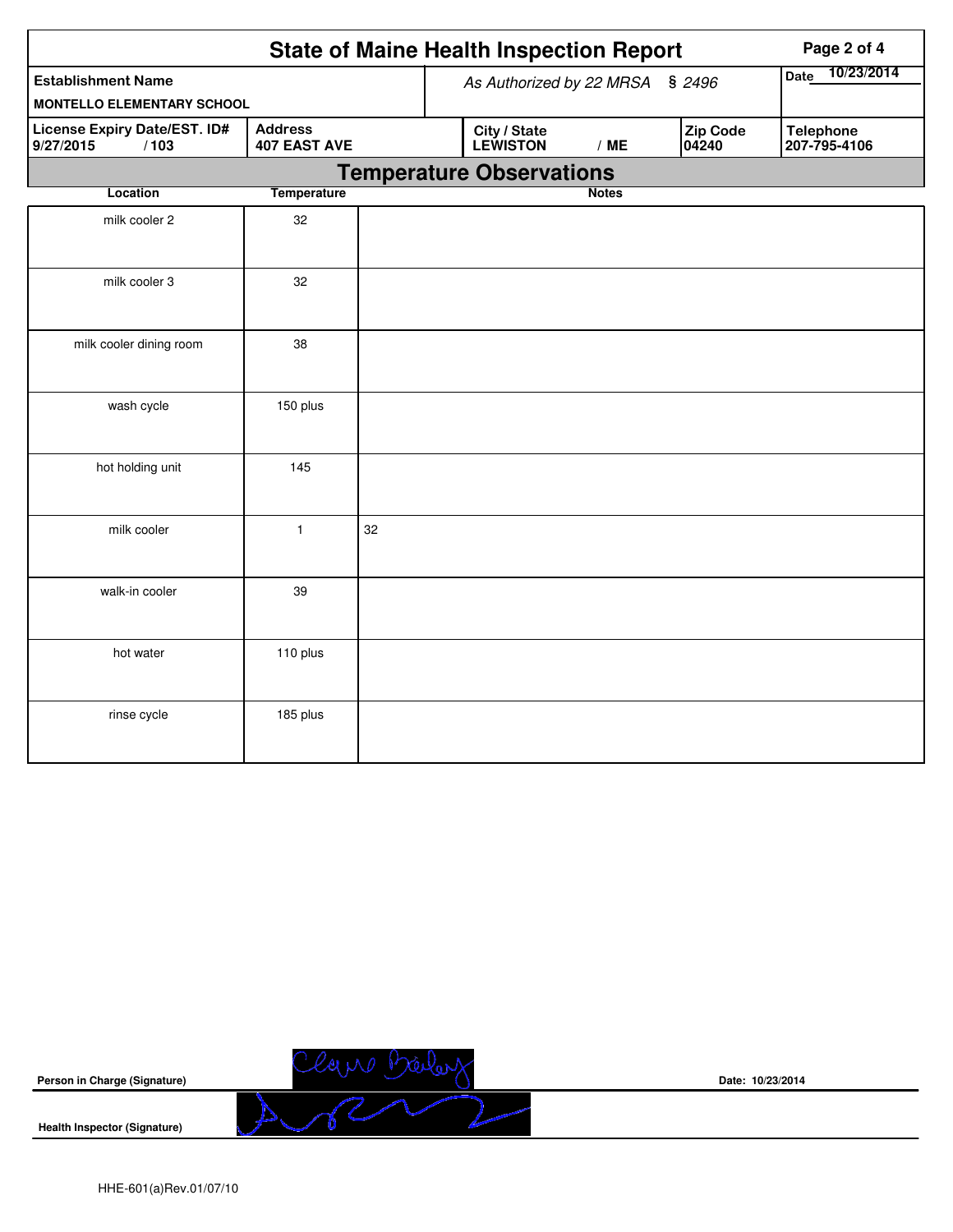|                                                                                            |              |    | <b>State of Maine Health Inspection Report</b> | Page 2 of 4                     |              |     |                   |                                  |
|--------------------------------------------------------------------------------------------|--------------|----|------------------------------------------------|---------------------------------|--------------|-----|-------------------|----------------------------------|
| <b>Establishment Name</b>                                                                  |              |    | As Authorized by 22 MRSA                       | 10/23/2014<br><b>Date</b>       |              |     |                   |                                  |
| <b>MONTELLO ELEMENTARY SCHOOL</b>                                                          |              |    |                                                |                                 |              |     |                   |                                  |
| License Expiry Date/EST. ID#<br><b>Address</b><br><b>407 EAST AVE</b><br>9/27/2015<br>/103 |              |    |                                                | City / State<br><b>LEWISTON</b> |              | /ME | Zip Code<br>04240 | <b>Telephone</b><br>207-795-4106 |
|                                                                                            |              |    |                                                | <b>Temperature Observations</b> |              |     |                   |                                  |
| Location                                                                                   | Temperature  |    |                                                |                                 | <b>Notes</b> |     |                   |                                  |
| milk cooler 2                                                                              | 32           |    |                                                |                                 |              |     |                   |                                  |
| milk cooler 3                                                                              | 32           |    |                                                |                                 |              |     |                   |                                  |
| milk cooler dining room                                                                    | 38           |    |                                                |                                 |              |     |                   |                                  |
| wash cycle                                                                                 | 150 plus     |    |                                                |                                 |              |     |                   |                                  |
| hot holding unit                                                                           | 145          |    |                                                |                                 |              |     |                   |                                  |
| milk cooler                                                                                | $\mathbf{1}$ | 32 |                                                |                                 |              |     |                   |                                  |
| walk-in cooler                                                                             | 39           |    |                                                |                                 |              |     |                   |                                  |
| hot water                                                                                  | 110 plus     |    |                                                |                                 |              |     |                   |                                  |
| rinse cycle                                                                                | 185 plus     |    |                                                |                                 |              |     |                   |                                  |



**Date: 10/23/2014**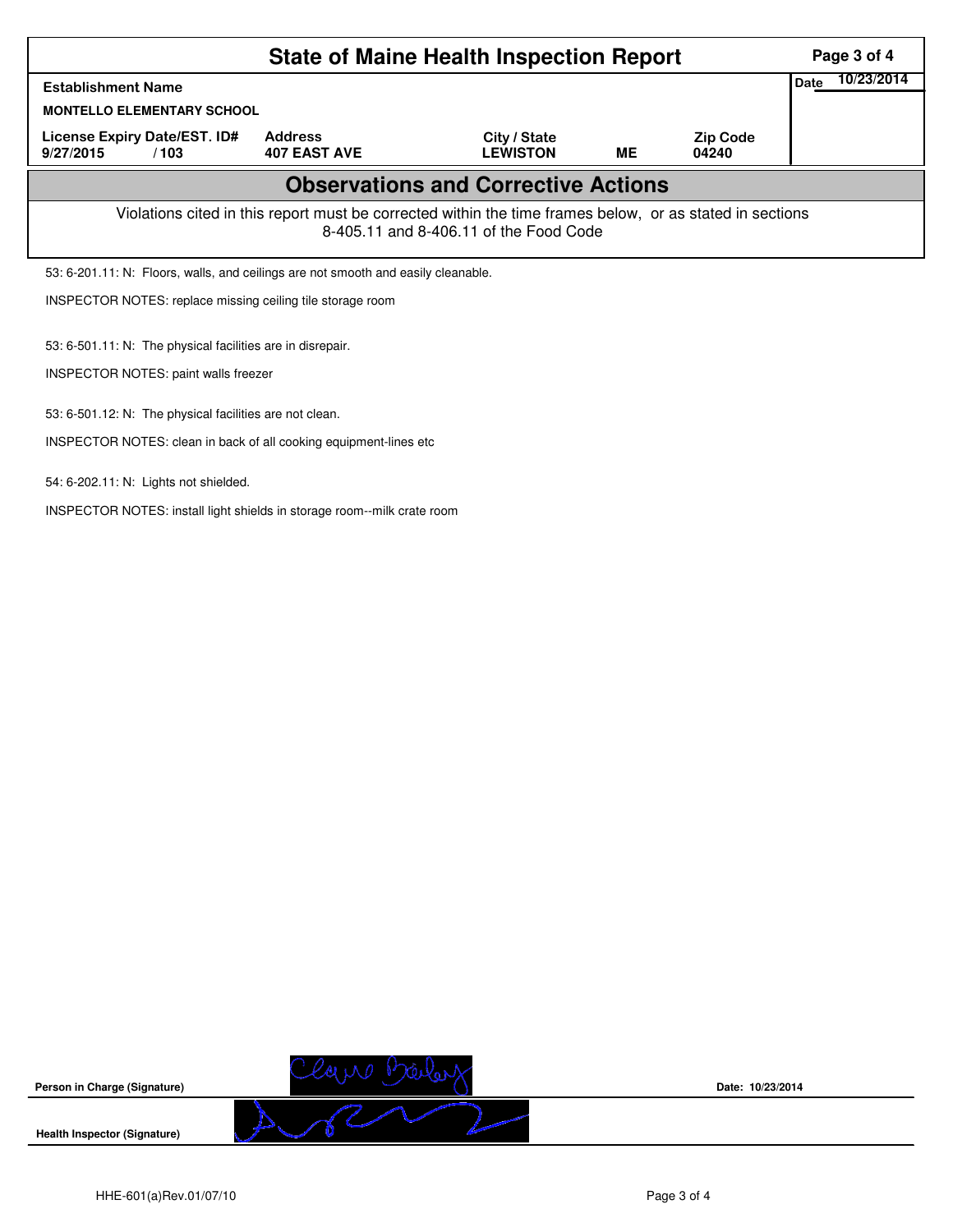| <b>State of Maine Health Inspection Report</b>                                                                                                     |                                       |                                 |    |                          |  |  |  |  |  |
|----------------------------------------------------------------------------------------------------------------------------------------------------|---------------------------------------|---------------------------------|----|--------------------------|--|--|--|--|--|
| <b>Establishment Name</b>                                                                                                                          |                                       |                                 |    |                          |  |  |  |  |  |
| <b>MONTELLO ELEMENTARY SCHOOL</b>                                                                                                                  |                                       |                                 |    |                          |  |  |  |  |  |
| License Expiry Date/EST. ID#<br>9/27/2015<br>/103                                                                                                  | <b>Address</b><br><b>407 EAST AVE</b> | City / State<br><b>LEWISTON</b> | ME | <b>Zip Code</b><br>04240 |  |  |  |  |  |
| <b>Observations and Corrective Actions</b>                                                                                                         |                                       |                                 |    |                          |  |  |  |  |  |
| Violations cited in this report must be corrected within the time frames below, or as stated in sections<br>8-405.11 and 8-406.11 of the Food Code |                                       |                                 |    |                          |  |  |  |  |  |
| 53: 6-201.11: N: Floors, walls, and ceilings are not smooth and easily cleanable.                                                                  |                                       |                                 |    |                          |  |  |  |  |  |
| INSPECTOR NOTES: replace missing ceiling tile storage room                                                                                         |                                       |                                 |    |                          |  |  |  |  |  |
| 53: 6-501.11: N: The physical facilities are in disrepair.                                                                                         |                                       |                                 |    |                          |  |  |  |  |  |
| INSPECTOR NOTES: paint walls freezer                                                                                                               |                                       |                                 |    |                          |  |  |  |  |  |
| 53: 6-501.12: N: The physical facilities are not clean.                                                                                            |                                       |                                 |    |                          |  |  |  |  |  |
| INSPECTOR NOTES: clean in back of all cooking equipment-lines etc.                                                                                 |                                       |                                 |    |                          |  |  |  |  |  |

54: 6-202.11: N: Lights not shielded.

INSPECTOR NOTES: install light shields in storage room--milk crate room